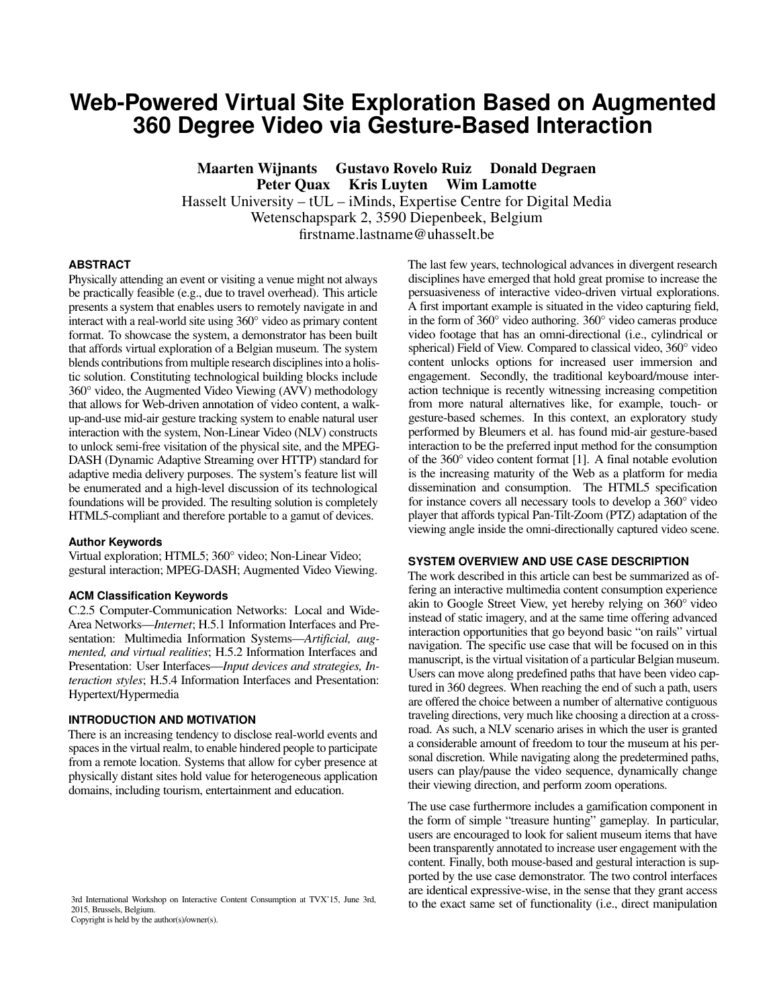# **Web-Powered Virtual Site Exploration Based on Augmented 360 Degree Video via Gesture-Based Interaction**

Maarten Wijnants Gustavo Rovelo Ruiz Donald Degraen Peter Quax Kris Luyten Wim Lamotte

Hasselt University – tUL – iMinds, Expertise Centre for Digital Media

Wetenschapspark 2, 3590 Diepenbeek, Belgium

firstname.lastname@uhasselt.be

## **ABSTRACT**

Physically attending an event or visiting a venue might not always be practically feasible (e.g., due to travel overhead). This article presents a system that enables users to remotely navigate in and interact with a real-world site using 360° video as primary content format. To showcase the system, a demonstrator has been built that affords virtual exploration of a Belgian museum. The system blends contributions from multiple research disciplines into a holistic solution. Constituting technological building blocks include 360° video, the Augmented Video Viewing (AVV) methodology that allows for Web-driven annotation of video content, a walkup-and-use mid-air gesture tracking system to enable natural user interaction with the system, Non-Linear Video (NLV) constructs to unlock semi-free visitation of the physical site, and the MPEG-DASH (Dynamic Adaptive Streaming over HTTP) standard for adaptive media delivery purposes. The system's feature list will be enumerated and a high-level discussion of its technological foundations will be provided. The resulting solution is completely HTML5-compliant and therefore portable to a gamut of devices.

#### **Author Keywords**

Virtual exploration; HTML5; 360° video; Non-Linear Video; gestural interaction; MPEG-DASH; Augmented Video Viewing.

#### **ACM Classification Keywords**

C.2.5 Computer-Communication Networks: Local and Wide-Area Networks—*Internet*; H.5.1 Information Interfaces and Presentation: Multimedia Information Systems—*Artificial, augmented, and virtual realities*; H.5.2 Information Interfaces and Presentation: User Interfaces—*Input devices and strategies, Interaction styles*; H.5.4 Information Interfaces and Presentation: Hypertext/Hypermedia

## **INTRODUCTION AND MOTIVATION**

There is an increasing tendency to disclose real-world events and spaces in the virtual realm, to enable hindered people to participate from a remote location. Systems that allow for cyber presence at physically distant sites hold value for heterogeneous application domains, including tourism, entertainment and education.

3rd International Workshop on Interactive Content Consumption at TVX'15, June 3rd, 2015, Brussels, Belgium. Copyright is held by the author(s)/owner(s).

disciplines have emerged that hold great promise to increase the persuasiveness of interactive video-driven virtual explorations. A first important example is situated in the video capturing field, in the form of 360° video authoring. 360° video cameras produce video footage that has an omni-directional (i.e., cylindrical or spherical) Field of View. Compared to classical video, 360° video content unlocks options for increased user immersion and engagement. Secondly, the traditional keyboard/mouse interaction technique is recently witnessing increasing competition from more natural alternatives like, for example, touch- or gesture-based schemes. In this context, an exploratory study performed by Bleumers et al. has found mid-air gesture-based interaction to be the preferred input method for the consumption of the 360° video content format [\[1\]](#page-1-0). A final notable evolution is the increasing maturity of the Web as a platform for media dissemination and consumption. The HTML5 specification for instance covers all necessary tools to develop a 360° video player that affords typical Pan-Tilt-Zoom (PTZ) adaptation of the viewing angle inside the omni-directionally captured video scene.

### **SYSTEM OVERVIEW AND USE CASE DESCRIPTION**

The last few years, technological advances in divergent research

The work described in this article can best be summarized as offering an interactive multimedia content consumption experience akin to Google Street View, yet hereby relying on 360° video instead of static imagery, and at the same time offering advanced interaction opportunities that go beyond basic "on rails" virtual navigation. The specific use case that will be focused on in this manuscript, is the virtual visitation of a particular Belgian museum. Users can move along predefined paths that have been video captured in 360 degrees. When reaching the end of such a path, users are offered the choice between a number of alternative contiguous traveling directions, very much like choosing a direction at a crossroad. As such, a NLV scenario arises in which the user is granted a considerable amount of freedom to tour the museum at his personal discretion. While navigating along the predetermined paths, users can play/pause the video sequence, dynamically change their viewing direction, and perform zoom operations.

The use case furthermore includes a gamification component in the form of simple "treasure hunting" gameplay. In particular, users are encouraged to look for salient museum items that have been transparently annotated to increase user engagement with the content. Finally, both mouse-based and gestural interaction is supported by the use case demonstrator. The two control interfaces are identical expressive-wise, in the sense that they grant access to the exact same set of functionality (i.e., direct manipulation